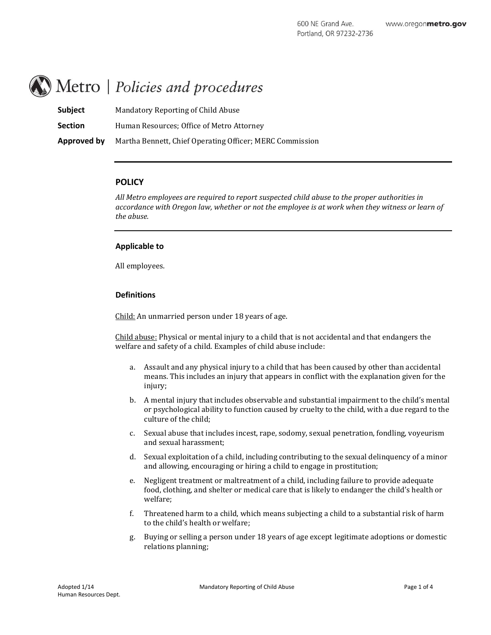# Metro | Policies and procedures

| <b>Subject</b> | Mandatory Reporting of Child Abuse                       |
|----------------|----------------------------------------------------------|
| <b>Section</b> | Human Resources: Office of Metro Attorney                |
| Approved by    | Martha Bennett, Chief Operating Officer; MERC Commission |

## **POLICY**

*All Metro employees are required to report suspected child abuse to the proper authorities in accordance with Oregon law, whether or not the employee is at work when they witness or learn of the abuse.*

## **Applicable to**

All employees.

## **Definitions**

Child: An unmarried person under 18 years of age.

Child abuse: Physical or mental injury to a child that is not accidental and that endangers the welfare and safety of a child. Examples of child abuse include:

- a. Assault and any physical injury to a child that has been caused by other than accidental means. This includes an injury that appears in conflict with the explanation given for the injury;
- b. A mental injury that includes observable and substantial impairment to the child's mental or psychological ability to function caused by cruelty to the child, with a due regard to the culture of the child;
- c. Sexual abuse that includes incest, rape, sodomy, sexual penetration, fondling, voyeurism and sexual harassment;
- d. Sexual exploitation of a child, including contributing to the sexual delinquency of a minor and allowing, encouraging or hiring a child to engage in prostitution;
- e. Negligent treatment or maltreatment of a child, including failure to provide adequate food, clothing, and shelter or medical care that is likely to endanger the child's health or welfare;
- f. Threatened harm to a child, which means subjecting a child to a substantial risk of harm to the child's health or welfare;
- g. Buying or selling a person under 18 years of age except legitimate adoptions or domestic relations planning;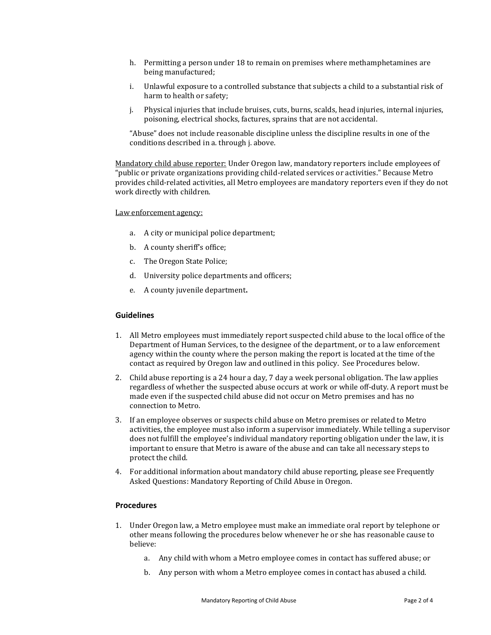- h. Permitting a person under 18 to remain on premises where methamphetamines are being manufactured;
- i. Unlawful exposure to a controlled substance that subjects a child to a substantial risk of harm to health or safety;
- j. Physical injuries that include bruises, cuts, burns, scalds, head injuries, internal injuries, poisoning, electrical shocks, factures, sprains that are not accidental.

"Abuse" does not include reasonable discipline unless the discipline results in one of the conditions described in a. through j. above.

Mandatory child abuse reporter: Under Oregon law, mandatory reporters include employees of "public or private organizations providing child-related services or activities." Because Metro provides child-related activities, all Metro employees are mandatory reporters even if they do not work directly with children.

Law enforcement agency:

- a. A city or municipal police department;
- b. A county sheriff's office;
- c. The Oregon State Police;
- d. University police departments and officers;
- e. A county juvenile department**.**

### **Guidelines**

- 1. All Metro employees must immediately report suspected child abuse to the local office of the Department of Human Services, to the designee of the department, or to a law enforcement agency within the county where the person making the report is located at the time of the contact as required by Oregon law and outlined in this policy. See Procedures below.
- 2. Child abuse reporting is a 24 hour a day, 7 day a week personal obligation. The law applies regardless of whether the suspected abuse occurs at work or while off-duty. A report must be made even if the suspected child abuse did not occur on Metro premises and has no connection to Metro.
- 3. If an employee observes or suspects child abuse on Metro premises or related to Metro activities, the employee must also inform a supervisor immediately. While telling a supervisor does not fulfill the employee's individual mandatory reporting obligation under the law, it is important to ensure that Metro is aware of the abuse and can take all necessary steps to protect the child.
- 4. For additional information about mandatory child abuse reporting, please see Frequently Asked Questions: Mandatory Reporting of Child Abuse in Oregon.

#### **Procedures**

- 1. Under Oregon law, a Metro employee must make an immediate oral report by telephone or other means following the procedures below whenever he or she has reasonable cause to believe:
	- a. Any child with whom a Metro employee comes in contact has suffered abuse; or
	- b. Any person with whom a Metro employee comes in contact has abused a child.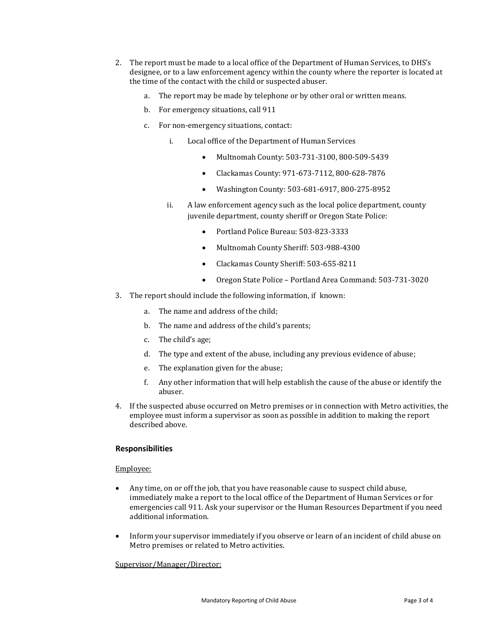- 2. The report must be made to a local office of the Department of Human Services, to DHS's designee, or to a law enforcement agency within the county where the reporter is located at the time of the contact with the child or suspected abuser.
	- a. The report may be made by telephone or by other oral or written means.
	- b. For emergency situations, call 911
	- c. For non-emergency situations, contact:
		- i. Local office of the Department of Human Services
			- Multnomah County: 503-731-3100, 800-509-5439
			- Clackamas County: 971-673-7112, 800-628-7876
			- Washington County: 503-681-6917, 800-275-8952
		- ii. A law enforcement agency such as the local police department, county juvenile department, county sheriff or Oregon State Police:
			- Portland Police Bureau: 503-823-3333
			- Multnomah County Sheriff: 503-988-4300
			- Clackamas County Sheriff: 503-655-8211
			- Oregon State Police Portland Area Command: 503-731-3020
- 3. The report should include the following information, if known:
	- a. The name and address of the child;
	- b. The name and address of the child's parents;
	- c. The child's age;
	- d. The type and extent of the abuse, including any previous evidence of abuse;
	- e. The explanation given for the abuse;
	- f. Any other information that will help establish the cause of the abuse or identify the abuser.
- 4. If the suspected abuse occurred on Metro premises or in connection with Metro activities, the employee must inform a supervisor as soon as possible in addition to making the report described above.

# **Responsibilities**

## Employee:

- Any time, on or off the job, that you have reasonable cause to suspect child abuse, immediately make a report to the local office of the Department of Human Services or for emergencies call 911. Ask your supervisor or the Human Resources Department if you need additional information.
- Inform your supervisor immediately if you observe or learn of an incident of child abuse on Metro premises or related to Metro activities.

## Supervisor/Manager/Director: